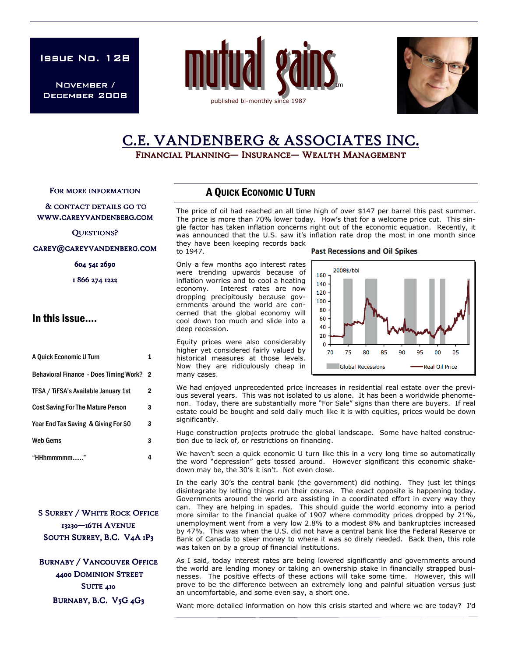ISSUE No. 128

November / December 2008





# C.E. VANDENBERG & ASSOCIATES INC.

FINANCIAL PLANNING— INSURANCE— WEALTH MANAGEMENT

FOR MORE INFORMATION

#### & CONTACT DETAILS GO TO WWW.CAREYVANDENBERG.COM

QUESTIONS?

#### CAREY@CAREYVANDENBERG.COM

604 541 2690

1 866 274 1222

### In this issue….

| A Quick Economic U Turn                       |                         |
|-----------------------------------------------|-------------------------|
| <b>Behavioral Finance - Does Timing Work?</b> | $\overline{\mathbf{2}}$ |
| TFSA / TiFSA's Available January 1st          | 2                       |
| <b>Cost Saving For The Mature Person</b>      | 3                       |
| Year End Tax Saving & Giving For \$0          | 3                       |
| <b>Web Gems</b>                               | 3                       |
| "HHhmmmmm                                     |                         |

**S SURREY / WHITE ROCK OFFICE** 13230-16TH AVENUE SOUTH SURREY, B.C. V4A 1P3

**BURNABY / VANCOUVER OFFICE** 4400 DOMINION STREET SUITE 410 BURNABY, B.C. V5G 4G3

#### A QUICK ECONOMIC U TURN

The price of oil had reached an all time high of over \$147 per barrel this past summer. The price is more than 70% lower today. How's that for a welcome price cut. This single factor has taken inflation concerns right out of the economic equation. Recently, it was announced that the U.S. saw it's inflation rate drop the most in one month since they have been keeping records back

to 1947.

many cases.

Only a few months ago interest rates were trending upwards because of inflation worries and to cool a heating economy. Interest rates are now dropping precipitously because governments around the world are concerned that the global economy will cool down too much and slide into a deep recession.

Equity prices were also considerably higher yet considered fairly valued by historical measures at those levels. Now they are ridiculously cheap in **Past Recessions and Oil Spikes** 



We had enjoyed unprecedented price increases in residential real estate over the previous several years. This was not isolated to us alone. It has been a worldwide phenomenon. Today, there are substantially more "For Sale" signs than there are buyers. If real estate could be bought and sold daily much like it is with equities, prices would be down significantly.

Huge construction projects protrude the global landscape. Some have halted construction due to lack of, or restrictions on financing.

We haven't seen a quick economic U turn like this in a very long time so automatically the word "depression" gets tossed around. However significant this economic shakedown may be, the 30's it isn't. Not even close.

In the early 30's the central bank (the government) did nothing. They just let things disintegrate by letting things run their course. The exact opposite is happening today. Governments around the world are assisting in a coordinated effort in every way they can. They are helping in spades. This should guide the world economy into a period more similar to the financial quake of 1907 where commodity prices dropped by 21%, unemployment went from a very low 2.8% to a modest 8% and bankruptcies increased by 47%. This was when the U.S. did not have a central bank like the Federal Reserve or Bank of Canada to steer money to where it was so direly needed. Back then, this role was taken on by a group of financial institutions.

As I said, today interest rates are being lowered significantly and governments around the world are lending money or taking an ownership stake in financially strapped businesses. The positive effects of these actions will take some time. However, this will prove to be the difference between an extremely long and painful situation versus just an uncomfortable, and some even say, a short one.

Want more detailed information on how this crisis started and where we are today? I'd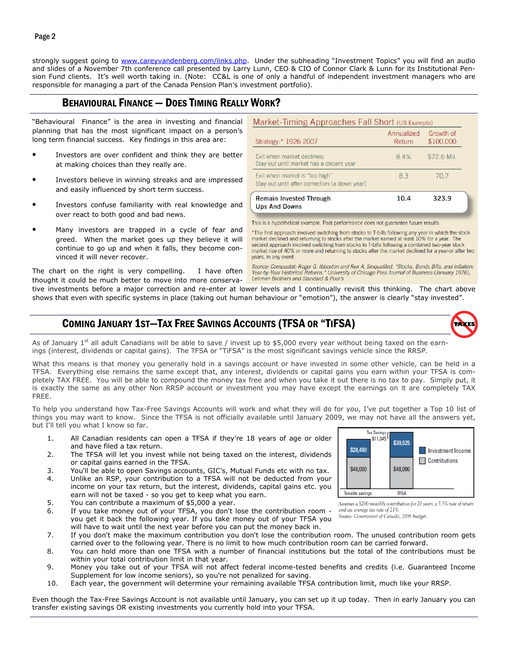strongly suggest going to www.careyvandenberg.com/links.php. Under the subheading "Investment Topics" you will find an audio and slides of a November 7th conference call presented by Larry Lunn, CEO & CIO of Connor Clark & Lunn for its Institutional Pension Fund clients. It's well worth taking in. (Note: CC&L is one of only a handful of independent investment managers who are responsible for managing a part of the Canada Pension Plan's investment portfolio).

## BEHAVIOURAL FINANCE — DOES TIMING REALLY WORK?

"Behavioural Finance" is the area in investing and financial planning that has the most significant impact on a person's long term financial success. Key findings in this area are:

- Investors are over confident and think they are better at making choices than they really are.
- Investors believe in winning streaks and are impressed and easily influenced by short term success.
- Investors confuse familiarity with real knowledge and over react to both good and bad news.
- Many investors are trapped in a cycle of fear and greed. When the market goes up they believe it will continue to go up and when it falls, they become convinced it will never recover.

The chart on the right is very compelling. I have often thought it could be much better to move into more conserva-

| Market-Timing Approaches Fall Short (US Example)<br>Strategy:* 1926-2007        | Annualized<br>Return | Growth of<br>\$100,000 |
|---------------------------------------------------------------------------------|----------------------|------------------------|
| Exit when market declines;<br>Stay out until market has a decent year           | 8.4%                 | \$72.6 Mil.            |
| Exit when market is "too high"<br>Stay out until after correction (a down year) | 83                   | 70.7                   |
| <b>Remain Invested Through</b><br><b>Ups And Downs</b>                          | 10.4                 | 323.9                  |

This is a hypothetical example. Past performance does not guarantee future results

\*The first approach involved switching from stocks to T-bills following any year in which the stock market declined and returning to stocks after the market earned at least 10% for a year. The second approach involved switching from stocks to T-bills following a combined two-year stock market rise of 40% or more and returning to stocks after the market declined for a year-or after two years, in any event.

Source: Compustat: Roger G. Ibboston and Rex A. Sinquefiled, "Stocks, Bonds Bills, and Inflation: Year-by-Year Historical Returns," University of Chicago Pres Journal of Business (January 1976); Lehman Brothers and Standard & Poor's

tive investments before a major correction and re-enter at lower levels and I continually revisit this thinking. The chart above shows that even with specific systems in place (taking out human behaviour or "emotion"), the answer is clearly "stay invested".

### COMING JANUARY 1ST—TAX FREE SAVINGS ACCOUNTS (TFSA OR "TIFSA)



As of January 1<sup>st</sup> all adult Canadians will be able to save / invest up to \$5,000 every year without being taxed on the earnings (interest, dividends or capital gains). The TFSA or "TiFSA" is the most significant savings vehicle since the RRSP.

What this means is that money you generally hold in a savings account or have invested in some other vehicle, can be held in a TFSA. Everything else remains the same except that, any interest, dividends or capital gains you earn within your TFSA is completely TAX FREE. You will be able to compound the money tax free and when you take it out there is no tax to pay. Simply put, it is exactly the same as any other Non RRSP account or investment you may have except the earnings on it are completely TAX FREE.

To help you understand how Tax-Free Savings Accounts will work and what they will do for you, I've put together a Top 10 list of things you may want to know. Since the TFSA is not officially available until January 2009, we may not have all the answers yet, but I'll tell you what I know so far.

- 1. All Canadian residents can open a TFSA if they're 18 years of age or older and have filed a tax return.
- 2. The TFSA will let you invest while not being taxed on the interest, dividends or capital gains earned in the TFSA.
- 3. You'll be able to open Savings accounts, GIC's, Mutual Funds etc with no tax.
- 4. Unlike an RSP, your contribution to a TFSA will not be deducted from your income on your tax return, but the interest, dividends, capital gains etc. you earn will not be taxed - so you get to keep what you earn.
- 5. You can contribute a maximum of \$5,000 a year.
- 6. If you take money out of your TFSA, you don't lose the contribution room you get it back the following year. If you take money out of your TFSA you will have to wait until the next year before you can put the money back in.
- 7. If you don't make the maximum contribution you don't lose the contribution room. The unused contribution room gets carried over to the following year. There is no limit to how much contribution room can be carried forward.

8. You can hold more than one TFSA with a number of financial institutions but the total of the contributions must be within your total contribution limit in that year.

- 9. Money you take out of your TFSA will not affect federal income-tested benefits and credits (i.e. Guaranteed Income Supplement for low income seniors), so you're not penalized for saving.
- 10. Each year, the government will determine your remaining available TFSA contribution limit, much like your RRSP.

Even though the Tax-Free Savings Account is not available until January, you can set up it up today. Then in early January you can transfer existing savings OR existing investments you currently hold into your TFSA.



Assumes a \$200 monthly contribution for 20 years, a 5.5% rate of return and an average tax rate of 21%

Source: Government of Canada, 2008 budget.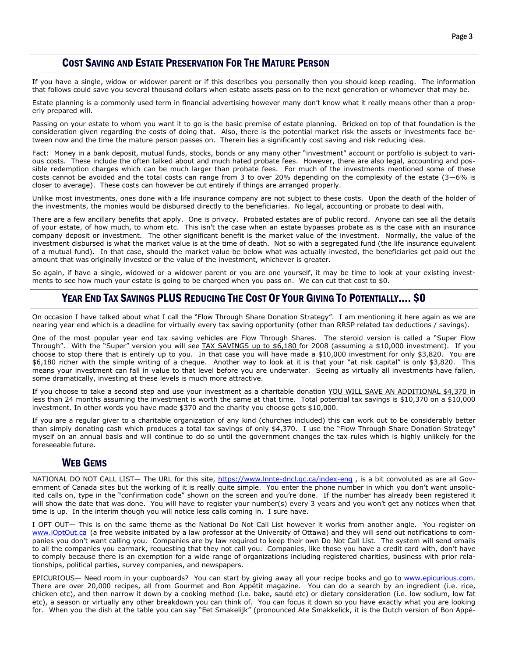### COST SAVING AND ESTATE PRESERVATION FOR THE MATURE PERSON

If you have a single, widow or widower parent or if this describes you personally then you should keep reading. The information that follows could save you several thousand dollars when estate assets pass on to the next generation or whomever that may be.

Estate planning is a commonly used term in financial advertising however many don't know what it really means other than a properly prepared will.

Passing on your estate to whom you want it to go is the basic premise of estate planning. Bricked on top of that foundation is the consideration given regarding the costs of doing that. Also, there is the potential market risk the assets or investments face between now and the time the mature person passes on. Therein lies a significantly cost saving and risk reducing idea.

Fact: Money in a bank deposit, mutual funds, stocks, bonds or any many other "investment" account or portfolio is subject to various costs. These include the often talked about and much hated probate fees. However, there are also legal, accounting and possible redemption charges which can be much larger than probate fees. For much of the investments mentioned some of these costs cannot be avoided and the total costs can range from 3 to over 20% depending on the complexity of the estate  $(3-6\%$  is closer to average). These costs can however be cut entirely if things are arranged properly.

Unlike most investments, ones done with a life insurance company are not subject to these costs. Upon the death of the holder of the investments, the monies would be disbursed directly to the beneficiaries. No legal, accounting or probate to deal with.

There are a few ancillary benefits that apply. One is privacy. Probated estates are of public record. Anyone can see all the details of your estate, of how much, to whom etc. This isn't the case when an estate bypasses probate as is the case with an insurance company deposit or investment. The other significant benefit is the market value of the investment. Normally, the value of the investment disbursed is what the market value is at the time of death. Not so with a segregated fund (the life insurance equivalent of a mutual fund). In that case, should the market value be below what was actually invested, the beneficiaries get paid out the amount that was originally invested or the value of the investment, whichever is greater.

So again, if have a single, widowed or a widower parent or you are one yourself, it may be time to look at your existing investments to see how much your estate is going to be charged when you pass on. We can cut that cost to \$0.

### YEAR END TAX SAVINGS PLUS REDUCING THE COST OF YOUR GIVING TO POTENTIALLY.... \$0

On occasion I have talked about what I call the "Flow Through Share Donation Strategy". I am mentioning it here again as we are nearing year end which is a deadline for virtually every tax saving opportunity (other than RRSP related tax deductions / savings).

One of the most popular year end tax saving vehicles are Flow Through Shares. The steroid version is called a "Super Flow Through". With the "Super" version you will see TAX SAVINGS up to \$6,180 for 2008 (assuming a \$10,000 investment). If you choose to stop there that is entirely up to you. In that case you will have made a \$10,000 investment for only \$3,820. You are \$6,180 richer with the simple writing of a cheque. Another way to look at it is that your "at risk capital" is only \$3,820. This means your investment can fall in value to that level before you are underwater. Seeing as virtually all investments have fallen, some dramatically, investing at these levels is much more attractive.

If you choose to take a second step and use your investment as a charitable donation YOU WILL SAVE AN ADDITIONAL \$4,370 in less than 24 months assuming the investment is worth the same at that time. Total potential tax savings is \$10,370 on a \$10,000 investment. In other words you have made \$370 and the charity you choose gets \$10,000.

If you are a regular giver to a charitable organization of any kind (churches included) this can work out to be considerably better than simply donating cash which produces a total tax savings of only \$4,370. I use the "Flow Through Share Donation Strategy" myself on an annual basis and will continue to do so until the government changes the tax rules which is highly unlikely for the foreseeable future.

#### WEB GEMS

NATIONAL DO NOT CALL LIST- The URL for this site, https://www.lnnte-dncl.gc.ca/index-eng, is a bit convoluted as are all Government of Canada sites but the working of it is really quite simple. You enter the phone number in which you don't want unsolicited calls on, type in the "confirmation code" shown on the screen and you're done. If the number has already been registered it will show the date that was done. You will have to register your number(s) every 3 years and you won't get any notices when that time is up. In the interim though you will notice less calls coming in. I sure have.

I OPT OUT— This is on the same theme as the National Do Not Call List however it works from another angle. You register on www.iOptOut.ca (a free website initiated by a law professor at the University of Ottawa) and they will send out notifications to companies you don't want calling you. Companies are by law required to keep their own Do Not Call List. The system will send emails to all the companies you earmark, requesting that they not call you. Companies, like those you have a credit card with, don't have to comply because there is an exemption for a wide range of organizations including registered charities, business with prior relationships, political parties, survey companies, and newspapers.

EPICURIOUS— Need room in your cupboards? You can start by giving away all your recipe books and go to www.epicurious.com. There are over 20,000 recipes, all from Gourmet and Bon Appétit magazine. You can do a search by an ingredient (i.e. rice, chicken etc), and then narrow it down by a cooking method (i.e. bake, sauté etc) or dietary consideration (i.e. low sodium, low fat etc), a season or virtually any other breakdown you can think of. You can focus it down so you have exactly what you are looking for. When you the dish at the table you can say "Eet Smakelijk" (pronounced Ate Smakkelick, it is the Dutch version of Bon Appé-